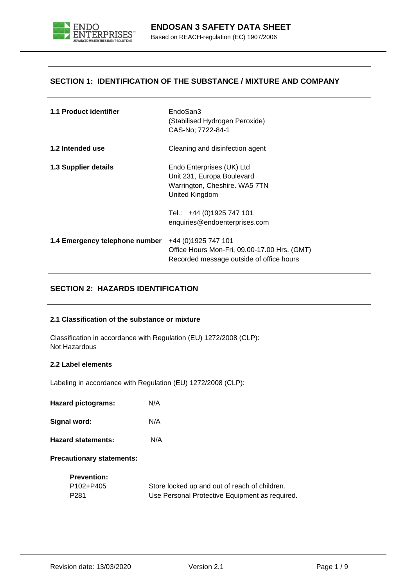

## **SECTION 1: IDENTIFICATION OF THE SUBSTANCE / MIXTURE AND COMPANY**

| 1.1 Product identifier         | EndoSan3<br>(Stabilised Hydrogen Peroxide)<br>CAS-No; 7722-84-1                                                  |
|--------------------------------|------------------------------------------------------------------------------------------------------------------|
| 1.2 Intended use               | Cleaning and disinfection agent                                                                                  |
| 1.3 Supplier details           | Endo Enterprises (UK) Ltd<br>Unit 231, Europa Boulevard<br>Warrington, Cheshire. WA5 7TN<br>United Kingdom       |
|                                | Tel.: +44 (0)1925 747 101<br>enquiries@endoenterprises.com                                                       |
| 1.4 Emergency telephone number | +44 (0) 1925 747 101<br>Office Hours Mon-Fri, 09.00-17.00 Hrs. (GMT)<br>Recorded message outside of office hours |

# **SECTION 2: HAZARDS IDENTIFICATION**

## **2.1 Classification of the substance or mixture**

Classification in accordance with Regulation (EU) 1272/2008 (CLP): Not Hazardous

## **2.2 Label elements**

Labeling in accordance with Regulation (EU) 1272/2008 (CLP):

**Hazard pictograms:** N/A

**Signal word:** N/A

**Hazard statements:** N/A

**Precautionary statements:**

| <b>Prevention:</b> |                                                |
|--------------------|------------------------------------------------|
| P102+P405          | Store locked up and out of reach of children.  |
| P281               | Use Personal Protective Equipment as required. |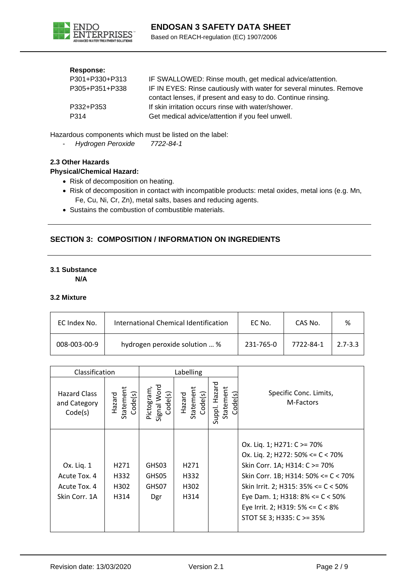

## **Response:**

| P301+P330+P313 | IF SWALLOWED: Rinse mouth, get medical advice/attention.            |
|----------------|---------------------------------------------------------------------|
| P305+P351+P338 | IF IN EYES: Rinse cautiously with water for several minutes. Remove |
|                | contact lenses, if present and easy to do. Continue rinsing.        |
| P332+P353      | If skin irritation occurs rinse with water/shower.                  |
| P314           | Get medical advice/attention if you feel unwell.                    |

Hazardous components which must be listed on the label:

- *Hydrogen Peroxide 7722-84-1*

## **2.3 Other Hazards**

## **Physical/Chemical Hazard:**

- Risk of decomposition on heating.
- Risk of decomposition in contact with incompatible products: metal oxides, metal ions (e.g. Mn, Fe, Cu, Ni, Cr, Zn), metal salts, bases and reducing agents.
- Sustains the combustion of combustible materials.

# **SECTION 3: COMPOSITION / INFORMATION ON INGREDIENTS**

## **3.1 Substance**

**N/A**

## **3.2 Mixture**

| EC Index No. | International Chemical Identification | EC No.    | CAS No.   | %           |
|--------------|---------------------------------------|-----------|-----------|-------------|
| 008-003-00-9 | hydrogen peroxide solution  %         | 231-765-0 | 7722-84-1 | $2.7 - 3.3$ |

| Classification                                              |                                          | Labelling                            |                                          |                                       |                                                                                                                                                                                                                                                                                                |
|-------------------------------------------------------------|------------------------------------------|--------------------------------------|------------------------------------------|---------------------------------------|------------------------------------------------------------------------------------------------------------------------------------------------------------------------------------------------------------------------------------------------------------------------------------------------|
| <b>Hazard Class</b><br>and Category<br>Code(s)              | Statement<br>Code(s)<br>Hazard           | Signal Word<br>Pictogram,<br>Code(s) | Statement<br>Code(s)<br>Hazard           | Suppl. Hazard<br>Statement<br>code(s) | Specific Conc. Limits,<br>M-Factors                                                                                                                                                                                                                                                            |
| Ox. Liq. 1<br>Acute Tox. 4<br>Acute Tox. 4<br>Skin Corr. 1A | H <sub>271</sub><br>H332<br>H302<br>H314 | GHS03<br>GHS05<br>GHS07<br>Dgr       | H <sub>271</sub><br>H332<br>H302<br>H314 |                                       | Ox. Liq. 1; H271: C >= 70%<br>Ox. Liq. 2; H272: 50% <= $C$ < 70%<br>Skin Corr. 1A; H314: C >= 70%<br>Skin Corr. 1B; H314: 50% <= $C$ < 70%<br>Skin Irrit. 2; H315: $35\% \leq C \leq 50\%$<br>Eye Dam. 1; H318: 8% <= C < 50%<br>Eye Irrit. 2; H319: 5% <= C < 8%<br>STOT SE 3; H335: C >= 35% |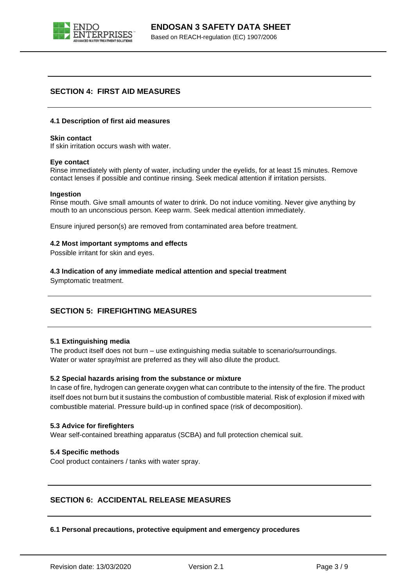

## **SECTION 4: FIRST AID MEASURES**

#### **4.1 Description of first aid measures**

#### **Skin contact**

If skin irritation occurs wash with water.

#### **Eye contact**

Rinse immediately with plenty of water, including under the eyelids, for at least 15 minutes. Remove contact lenses if possible and continue rinsing. Seek medical attention if irritation persists.

#### **Ingestion**

Rinse mouth. Give small amounts of water to drink. Do not induce vomiting. Never give anything by mouth to an unconscious person. Keep warm. Seek medical attention immediately.

Ensure injured person(s) are removed from contaminated area before treatment.

## **4.2 Most important symptoms and effects**

Possible irritant for skin and eyes.

**4.3 Indication of any immediate medical attention and special treatment**

Symptomatic treatment.

## **SECTION 5: FIREFIGHTING MEASURES**

## **5.1 Extinguishing media**

The product itself does not burn – use extinguishing media suitable to scenario/surroundings. Water or water spray/mist are preferred as they will also dilute the product.

## **5.2 Special hazards arising from the substance or mixture**

In case of fire, hydrogen can generate oxygen what can contribute to the intensity of the fire. The product itself does not burn but it sustains the combustion of combustible material. Risk of explosion if mixed with combustible material. Pressure build-up in confined space (risk of decomposition).

## **5.3 Advice for firefighters**

Wear self-contained breathing apparatus (SCBA) and full protection chemical suit.

## **5.4 Specific methods**

Cool product containers / tanks with water spray.

## **SECTION 6: ACCIDENTAL RELEASE MEASURES**

## **6.1 Personal precautions, protective equipment and emergency procedures**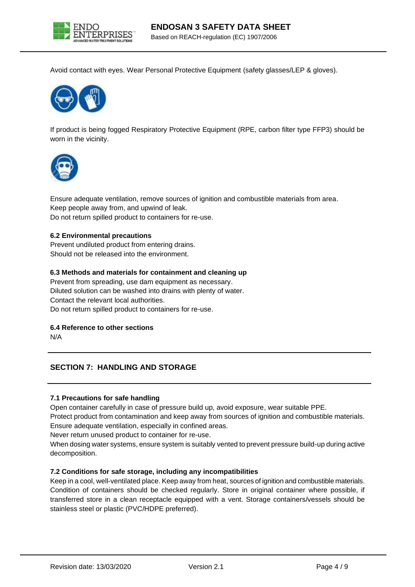

Avoid contact with eyes. Wear Personal Protective Equipment (safety glasses/LEP & gloves).



If product is being fogged Respiratory Protective Equipment (RPE, carbon filter type FFP3) should be worn in the vicinity.



Ensure adequate ventilation, remove sources of ignition and combustible materials from area. Keep people away from, and upwind of leak. Do not return spilled product to containers for re-use.

## **6.2 Environmental precautions**

Prevent undiluted product from entering drains. Should not be released into the environment.

## **6.3 Methods and materials for containment and cleaning up**

Prevent from spreading, use dam equipment as necessary. Diluted solution can be washed into drains with plenty of water. Contact the relevant local authorities. Do not return spilled product to containers for re-use.

## **6.4 Reference to other sections**

N/A

## **SECTION 7: HANDLING AND STORAGE**

## **7.1 Precautions for safe handling**

Open container carefully in case of pressure build up, avoid exposure, wear suitable PPE.

Protect product from contamination and keep away from sources of ignition and combustible materials. Ensure adequate ventilation, especially in confined areas.

Never return unused product to container for re-use.

When dosing water systems, ensure system is suitably vented to prevent pressure build-up during active decomposition.

## **7.2 Conditions for safe storage, including any incompatibilities**

Keep in a cool, well-ventilated place. Keep away from heat, sources of ignition and combustible materials. Condition of containers should be checked regularly. Store in original container where possible, if transferred store in a clean receptacle equipped with a vent. Storage containers/vessels should be stainless steel or plastic (PVC/HDPE preferred).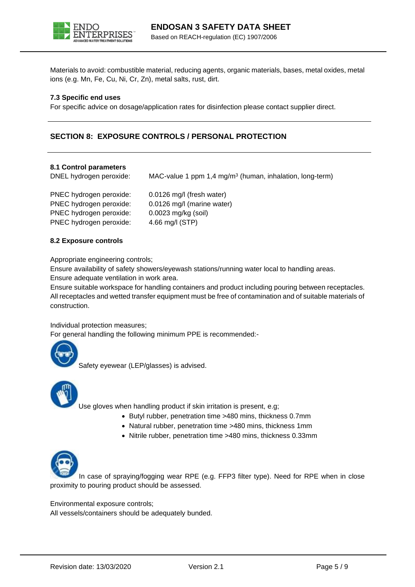

Materials to avoid: combustible material, reducing agents, organic materials, bases, metal oxides, metal ions (e.g. Mn, Fe, Cu, Ni, Cr, Zn), metal salts, rust, dirt.

## **7.3 Specific end uses**

For specific advice on dosage/application rates for disinfection please contact supplier direct.

## **SECTION 8: EXPOSURE CONTROLS / PERSONAL PROTECTION**

#### **8.1 Control parameters**

DNEL hydrogen peroxide: MAC-value 1 ppm 1,4 mg/m<sup>3</sup> (human, inhalation, long-term)

| PNEC hydrogen peroxide: | 0.0126 mg/l (fresh water)  |
|-------------------------|----------------------------|
| PNEC hydrogen peroxide: | 0.0126 mg/l (marine water) |
| PNEC hydrogen peroxide: | 0.0023 mg/kg (soil)        |
| PNEC hydrogen peroxide: | 4.66 mg/l (STP)            |
|                         |                            |

#### **8.2 Exposure controls**

Appropriate engineering controls;

Ensure availability of safety showers/eyewash stations/running water local to handling areas. Ensure adequate ventilation in work area.

Ensure suitable workspace for handling containers and product including pouring between receptacles. All receptacles and wetted transfer equipment must be free of contamination and of suitable materials of construction.

Individual protection measures;

For general handling the following minimum PPE is recommended:-

Safety eyewear (LEP/glasses) is advised.



Use gloves when handling product if skin irritation is present, e.g;

- Butyl rubber, penetration time >480 mins, thickness 0.7mm
- Natural rubber, penetration time >480 mins, thickness 1mm
- Nitrile rubber, penetration time >480 mins, thickness 0.33mm



In case of spraying/fogging wear RPE (e.g. FFP3 filter type). Need for RPE when in close proximity to pouring product should be assessed.

Environmental exposure controls;

All vessels/containers should be adequately bunded.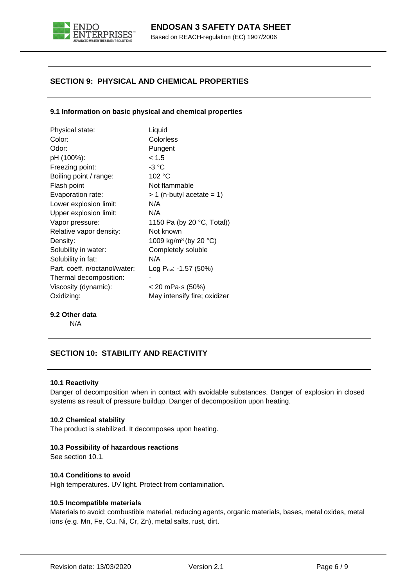

# **SECTION 9: PHYSICAL AND CHEMICAL PROPERTIES**

## **9.1 Information on basic physical and chemical properties**

| Physical state:               | Liquid                            |
|-------------------------------|-----------------------------------|
| Color:                        | Colorless                         |
| Odor:                         | Pungent                           |
| pH (100%):                    | < 1.5                             |
| Freezing point:               | -3 °C                             |
| Boiling point / range:        | 102 °C                            |
| Flash point                   | Not flammable                     |
| Evaporation rate:             | $> 1$ (n-butyl acetate = 1)       |
| Lower explosion limit:        | N/A                               |
| Upper explosion limit:        | N/A                               |
| Vapor pressure:               | 1150 Pa (by 20 °C, Total))        |
| Relative vapor density:       | Not known                         |
| Density:                      | 1009 kg/m <sup>3</sup> (by 20 °C) |
| Solubility in water:          | Completely soluble                |
| Solubility in fat:            | N/A                               |
| Part. coeff. n/octanol/water: | Log P <sub>ow</sub> : -1.57 (50%) |
| Thermal decomposition:        |                                   |
| Viscosity (dynamic):          | < 20 mPa⋅s (50%)                  |
| Oxidizing:                    | May intensify fire; oxidizer      |

## **9.2 Other data**

N/A

## **SECTION 10: STABILITY AND REACTIVITY**

## **10.1 Reactivity**

Danger of decomposition when in contact with avoidable substances. Danger of explosion in closed systems as result of pressure buildup. Danger of decomposition upon heating.

## **10.2 Chemical stability**

The product is stabilized. It decomposes upon heating.

## **10.3 Possibility of hazardous reactions**

See section 10.1.

## **10.4 Conditions to avoid**

High temperatures. UV light. Protect from contamination.

## **10.5 Incompatible materials**

Materials to avoid: combustible material, reducing agents, organic materials, bases, metal oxides, metal ions (e.g. Mn, Fe, Cu, Ni, Cr, Zn), metal salts, rust, dirt.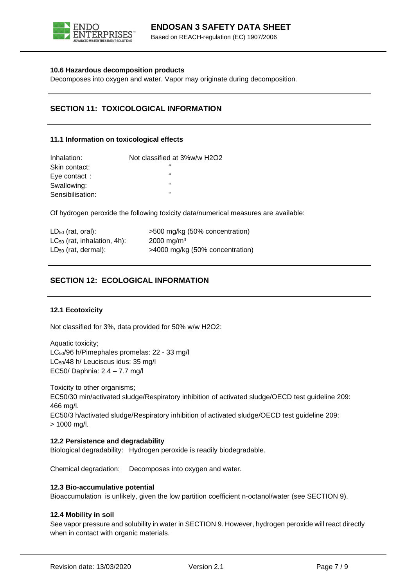

## **10.6 Hazardous decomposition products**

Decomposes into oxygen and water. Vapor may originate during decomposition.

# **SECTION 11: TOXICOLOGICAL INFORMATION**

## **11.1 Information on toxicological effects**

| Inhalation:      | Not classified at 3%w/w H2O2 |
|------------------|------------------------------|
| Skin contact:    | 66                           |
| Eye contact:     | 66                           |
| Swallowing:      | 66                           |
| Sensibilisation: | 66                           |

Of hydrogen peroxide the following toxicity data/numerical measures are available:

| $LD_{50}$ (rat, oral):           | >500 mg/kg (50% concentration)  |
|----------------------------------|---------------------------------|
| $LC_{50}$ (rat, inhalation, 4h): | 2000 mg/m <sup>3</sup>          |
| $LD_{50}$ (rat, dermal):         | >4000 mg/kg (50% concentration) |

# **SECTION 12: ECOLOGICAL INFORMATION**

## **12.1 Ecotoxicity**

Not classified for 3%, data provided for 50% w/w H2O2:

Aquatic toxicity; LC<sub>50</sub>/96 h/Pimephales promelas: 22 - 33 mg/l LC50/48 h/ Leuciscus idus: 35 mg/l EC50/ Daphnia: 2.4 – 7.7 mg/l

Toxicity to other organisms; EC50/30 min/activated sludge/Respiratory inhibition of activated sludge/OECD test guideline 209: 466 mg/l. EC50/3 h/activated sludge/Respiratory inhibition of activated sludge/OECD test guideline 209: > 1000 mg/l.

## **12.2 Persistence and degradability**

Biological degradability: Hydrogen peroxide is readily biodegradable.

Chemical degradation: Decomposes into oxygen and water.

## **12.3 Bio-accumulative potential**

Bioaccumulation is unlikely, given the low partition coefficient n-octanol/water (see SECTION 9).

#### **12.4 Mobility in soil**

See vapor pressure and solubility in water in SECTION 9. However, hydrogen peroxide will react directly when in contact with organic materials.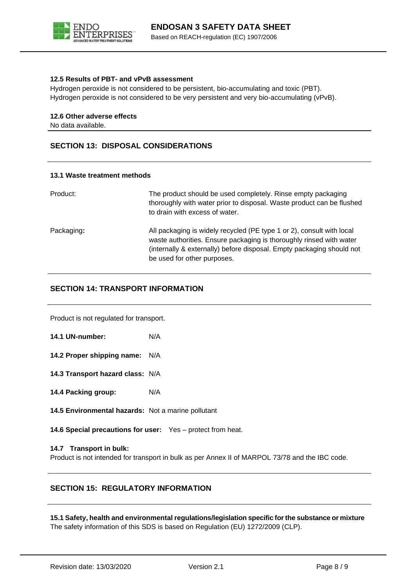

## **12.5 Results of PBT- and vPvB assessment**

Hydrogen peroxide is not considered to be persistent, bio-accumulating and toxic (PBT). Hydrogen peroxide is not considered to be very persistent and very bio-accumulating (vPvB).

## **12.6 Other adverse effects**

No data available.

## **SECTION 13: DISPOSAL CONSIDERATIONS**

## **13.1 Waste treatment methods**

| Product:   | The product should be used completely. Rinse empty packaging<br>thoroughly with water prior to disposal. Waste product can be flushed<br>to drain with excess of water.                                                                              |
|------------|------------------------------------------------------------------------------------------------------------------------------------------------------------------------------------------------------------------------------------------------------|
| Packaging: | All packaging is widely recycled (PE type 1 or 2), consult with local<br>waste authorities. Ensure packaging is thoroughly rinsed with water<br>(internally & externally) before disposal. Empty packaging should not<br>be used for other purposes. |

## **SECTION 14: TRANSPORT INFORMATION**

Product is not regulated for transport.

**14.1 UN-number:** N/A

**14.2 Proper shipping name:** N/A

**14.3 Transport hazard class:** N/A

**14.4 Packing group:** N/A

**14.5 Environmental hazards:** Not a marine pollutant

**14.6 Special precautions for user:** Yes – protect from heat.

## **14.7 Transport in bulk:**

Product is not intended for transport in bulk as per Annex II of MARPOL 73/78 and the IBC code.

## **SECTION 15: REGULATORY INFORMATION**

**15.1 Safety, health and environmental regulations/legislation specific for the substance or mixture** The safety information of this SDS is based on Regulation (EU) 1272/2009 (CLP).